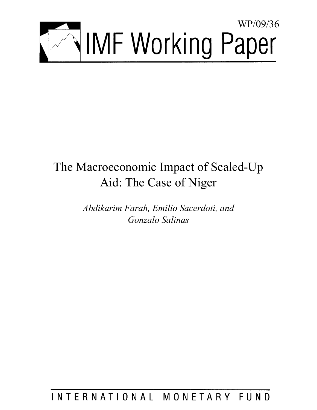

# The Macroeconomic Impact of Scaled-Up Aid: The Case of Niger

*Abdikarim Farah, Emilio Sacerdoti, and Gonzalo Salinas* 

INTERNATIONAL MONETARY FUND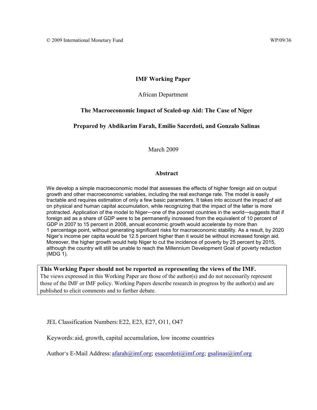## **IMF Working Paper**

African Department

## **The Macroeconomic Impact of Scaled-up Aid: The Case of Niger**

**Prepared by Abdikarim Farah, Emilio Sacerdoti, and Gonzalo Salinas** 

March 2009

#### **Abstract**

We develop a simple macroeconomic model that assesses the effects of higher foreign aid on output growth and other macroeconomic variables, including the real exchange rate. The model is easily tractable and requires estimation of only a few basic parameters. It takes into account the impact of aid on physical and human capital accumulation, while recognizing that the impact of the latter is more protracted. Application of the model to Niger—one of the poorest countries in the world—suggests that if foreign aid as a share of GDP were to be permanently increased from the equivalent of 10 percent of GDP in 2007 to 15 percent in 2008, annual economic growth would accelerate by more than 1 percentage point, without generating significant risks for macroeconomic stability. As a result, by 2020 Niger's income per capita would be 12.5 percent higher than it would be without increased foreign aid. Moreover, the higher growth would help Niger to cut the incidence of poverty by 25 percent by 2015, although the country will still be unable to reach the Millennium Development Goal of poverty reduction (MDG 1).

**This Working Paper should not be reported as representing the views of the IMF.** The views expressed in this Working Paper are those of the author(s) and do not necessarily represent those of the IMF or IMF policy. Working Papers describe research in progress by the author(s) and are published to elicit comments and to further debate.

JEL Classification Numbers: E22, E23, E27, O11, O47

Keywords: aid, growth, capital accumulation, low income countries

Author's E-Mail Address: [afarah@imf.org;](mailto:afarah@imf.org) [esacerdoti@imf.org;](mailto:esacerdoti@imf.org) [gsalinas@imf.org](mailto:gsalinas@imf.org)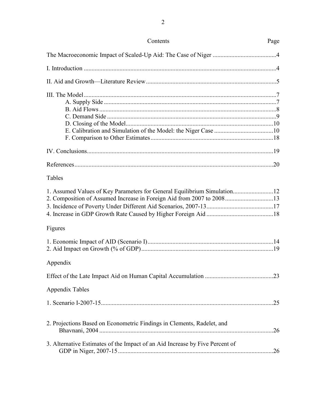| Contents                                                                                                                                          | Page |
|---------------------------------------------------------------------------------------------------------------------------------------------------|------|
|                                                                                                                                                   |      |
|                                                                                                                                                   |      |
|                                                                                                                                                   |      |
|                                                                                                                                                   |      |
|                                                                                                                                                   |      |
|                                                                                                                                                   |      |
| Tables                                                                                                                                            |      |
| 1. Assumed Values of Key Parameters for General Equilibrium Simulation12<br>2. Composition of Assumed Increase in Foreign Aid from 2007 to 200813 |      |
| Figures                                                                                                                                           |      |
|                                                                                                                                                   |      |
| Appendix                                                                                                                                          |      |
|                                                                                                                                                   |      |
| <b>Appendix Tables</b>                                                                                                                            |      |
|                                                                                                                                                   |      |
| 2. Projections Based on Econometric Findings in Clements, Radelet, and                                                                            |      |
| 3. Alternative Estimates of the Impact of an Aid Increase by Five Percent of                                                                      |      |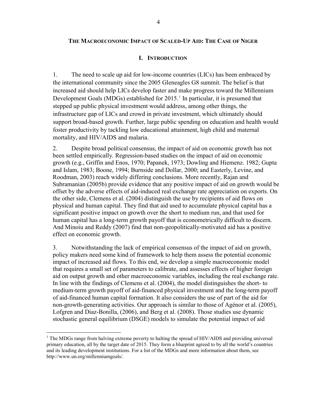## **I. INTRODUCTION**

1. The need to scale up aid for low-income countries (LICs) has been embraced by the international community since the 2005 Gleneagles G8 summit. The belief is that increased aid should help LICs develop faster and make progress toward the Millennium Development Goals (MDGs) established for 20[1](#page-5-0)5.<sup>1</sup> In particular, it is presumed that stepped up public physical investment would address, among other things, the infrastructure gap of LICs and crowd in private investment, which ultimately should support broad-based growth. Further, large public spending on education and health would foster productivity by tackling low educational attainment, high child and maternal mortality, and HIV/AIDS and malaria.

2. Despite broad political consensus, the impact of aid on economic growth has not been settled empirically. Regression-based studies on the impact of aid on economic growth (e.g., Griffin and Enos, 1970; Papanek, 1973; Dowling and Hiemenz. 1982; Gupta and Islam, 1983; Boone, 1994; Burnside and Dollar, 2000; and Easterly, Levine, and Roodman, 2003) reach widely differing conclusions. More recently, Rajan and Subramanian (2005b) provide evidence that any positive impact of aid on growth would be offset by the adverse effects of aid-induced real exchange rate appreciation on exports. On the other side, Clemens et al. (2004) distinguish the use by recipients of aid flows on physical and human capital. They find that aid used to accumulate physical capital has a significant positive impact on growth over the short to medium run, and that used for human capital has a long-term growth payoff that is econometrically difficult to discern. And Minoiu and Reddy (2007) find that non-geopolitically-motivated aid has a positive effect on economic growth.

3. Notwithstanding the lack of empirical consensus of the impact of aid on growth, policy makers need some kind of framework to help them assess the potential economic impact of increased aid flows. To this end, we develop a simple macroeconomic model that requires a small set of parameters to calibrate, and assesses effects of higher foreign aid on output growth and other macroeconomic variables, including the real exchange rate. In line with the findings of Clemens et al. (2004), the model distinguishes the short- to medium-term growth payoff of aid-financed physical investment and the long-term payoff of aid-financed human capital formation. It also considers the use of part of the aid for non-growth-generating activities. Our approach is similar to those of Agénor et al. (2005), Lofgren and Diaz-Bonilla, (2006), and Berg et al. (2008). Those studies use dynamic stochastic general equilibrium (DSGE) models to simulate the potential impact of aid

<span id="page-5-0"></span> $1$  The MDGs range from halving extreme poverty to halting the spread of HIV/AIDS and providing universal primary education, all by the target date of 2015. They form a blueprint agreed to by all the world's countries and its leading development institutions. For a list of the MDGs and more information about them, see http://www.un.org/millenniumgoals/.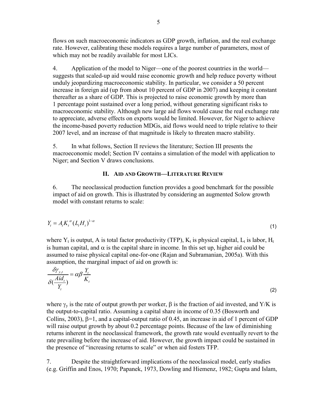flows on such macroeconomic indicators as GDP growth, inflation, and the real exchange rate. However, calibrating these models requires a large number of parameters, most of which may not be readily available for most LICs.

4. Application of the model to Niger—one of the poorest countries in the world suggests that scaled-up aid would raise economic growth and help reduce poverty without unduly jeopardizing macroeconomic stability. In particular, we consider a 50 percent increase in foreign aid (up from about 10 percent of GDP in 2007) and keeping it constant thereafter as a share of GDP. This is projected to raise economic growth by more than 1 percentage point sustained over a long period, without generating significant risks to macroeconomic stability. Although new large aid flows would cause the real exchange rate to appreciate, adverse effects on exports would be limited. However, for Niger to achieve the income-based poverty reduction MDGs, aid flows would need to triple relative to their 2007 level, and an increase of that magnitude is likely to threaten macro stability.

5. In what follows, Section II reviews the literature; Section III presents the macroeconomic model; Section IV contains a simulation of the model with application to Niger; and Section V draws conclusions.

## **II. AID AND GROWTH—LITERATURE REVIEW**

6. The neoclassical production function provides a good benchmark for the possible impact of aid on growth. This is illustrated by considering an augmented Solow growth model with constant returns to scale:

$$
Y_t = A_t K_t^{\alpha} (L_t H_t)^{1-\alpha} \tag{1}
$$

where  $Y_t$  is output, A is total factor productivity (TFP),  $K_t$  is physical capital,  $L_t$  is labor,  $H_t$ is human capital, and  $\alpha$  is the capital share in income. In this set up, higher aid could be assumed to raise physical capital one-for-one (Rajan and Subramanian, 2005a). With this assumption, the marginal impact of aid on growth is:

$$
\frac{\delta \gamma_{y,t}}{\delta(\frac{Aid_t}{Y_t})} = \alpha \beta \frac{Y_t}{K_t}
$$
\n(2)

where  $\gamma_v$  is the rate of output growth per worker,  $\beta$  is the fraction of aid invested, and Y/K is the output-to-capital ratio. Assuming a capital share in income of 0.35 (Bosworth and Collins, 2003),  $\beta$ =1, and a capital-output ratio of 0.45, an increase in aid of 1 percent of GDP will raise output growth by about 0.2 percentage points. Because of the law of diminishing returns inherent in the neoclassical framework, the growth rate would eventually revert to the rate prevailing before the increase of aid. However, the growth impact could be sustained in the presence of "increasing returns to scale" or when aid fosters TFP.

7. Despite the straightforward implications of the neoclassical model, early studies (e.g. Griffin and Enos, 1970; Papanek, 1973, Dowling and Hiemenz, 1982; Gupta and Islam,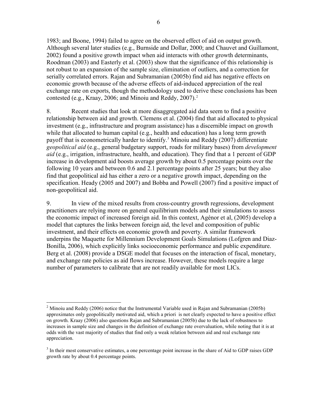1983; and Boone, 1994) failed to agree on the observed effect of aid on output growth. Although several later studies (e.g., Burnside and Dollar, 2000; and Chauvet and Guillamont, 2002) found a positive growth impact when aid interacts with other growth determinants, Roodman (2003) and Easterly et al. (2003) show that the significance of this relationship is not robust to an expansion of the sample size, elimination of outliers, and a correction for serially correlated errors. Rajan and Subramanian (2005b) find aid has negative effects on economic growth because of the adverse effects of aid-induced appreciation of the real exchange rate on exports, though the methodology used to derive these conclusions has been contested (e.g., Kraay, 2006; and Minoiu and Reddy, 2007).<sup>2</sup>

8. Recent studies that look at more disaggregated aid data seem to find a positive relationship between aid and growth. Clemens et al. (2004) find that aid allocated to physical investment (e.g., infrastructure and program assistance) has a discernible impact on growth while that allocated to human capital (e.g., health and education) has a long term growth payoff that is econometrically harder to identify.<sup>[3](#page-7-0)</sup> Minoiu and Reddy (2007) differentiate *geopolitical aid* (e.g., general budgetary support, roads for military bases) from *development aid* (e.g., irrigation, infrastructure, health, and education). They find that a 1 percent of GDP increase in development aid boosts average growth by about 0.5 percentage points over the following 10 years and between 0.6 and 2.1 percentage points after 25 years; but they also find that geopolitical aid has either a zero or a negative growth impact, depending on the specification. Heady (2005 and 2007) and Bobba and Powell (2007) find a positive impact of non-geopolitical aid.

9. In view of the mixed results from cross-country growth regressions, development practitioners are relying more on general equilibrium models and their simulations to assess the economic impact of increased foreign aid. In this context, Agénor et al, (2005) develop a model that captures the links between foreign aid, the level and composition of public investment, and their effects on economic growth and poverty. A similar framework underpins the Maquette for Millennium Development Goals Simulations (Lofgren and Diaz-Bonilla, 2006), which explicitly links socioeconomic performance and public expenditure. Berg et al. (2008) provide a DSGE model that focuses on the interaction of fiscal, monetary, and exchange rate policies as aid flows increase. However, these models require a large number of parameters to calibrate that are not readily available for most LICs.

<sup>&</sup>lt;sup>2</sup> Minoiu and Reddy (2006) notice that the Instrumental Variable used in Rajan and Subramanian (2005b) approximates only geopolitically motivated aid, which a priori is not clearly expected to have a positive effect on growth. Kraay (2006) also questions Rajan and Subramanian (2005b) due to the lack of robustness to increases in sample size and changes in the definition of exchange rate overvaluation, while noting that it is at odds with the vast majority of studies that find only a weak relation between aid and real exchange rate appreciation.

<span id="page-7-0"></span><sup>&</sup>lt;sup>3</sup> In their most conservative estimates, a one percentage point increase in the share of Aid to GDP raises GDP growth rate by about 0.4 percentage points.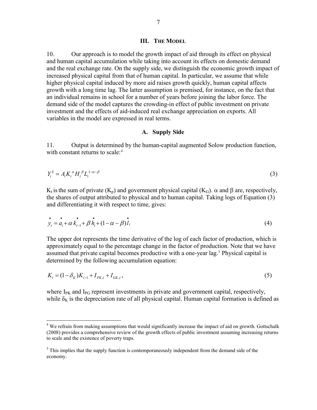#### **III. THE MODEL**

10. Our approach is to model the growth impact of aid through its effect on physical and human capital accumulation while taking into account its effects on domestic demand and the real exchange rate. On the supply side, we distinguish the economic growth impact of increased physical capital from that of human capital. In particular, we assume that while higher physical capital induced by more aid raises growth quickly, human capital affects growth with a long time lag. The latter assumption is premised, for instance, on the fact that an individual remains in school for a number of years before joining the labor force. The demand side of the model captures the crowding-in effect of public investment on private investment and the effects of aid-induced real exchange appreciation on exports. All variables in the model are expressed in real terms.

#### **A. Supply Side**

11. Output is determined by the human-capital augmented Solow production function, with constant returns to scale:<sup>[4](#page-8-0)</sup>

$$
Y_t^s = A_t K_t^{\alpha} H_t^{\beta} L_t^{1-\alpha-\beta} \tag{3}
$$

 $K_t$  is the sum of private  $(K_p)$  and government physical capital  $(K_G)$ .  $\alpha$  and  $\beta$  are, respectively, the shares of output attributed to physical and to human capital. Taking logs of Equation (3) and differentiating it with respect to time, gives:

$$
\dot{y}_t = a_t + \alpha \dot{k}_{t-1} + \beta \dot{h}_t + (1 - \alpha - \beta) \dot{l}_t
$$
\n(4)

The upper dot represents the time derivative of the log of each factor of production, which is approximately equal to the percentage change in the factor of production. Note that we have assumed that private capital becomes productive with a one-year lag.<sup>[5](#page-8-1)</sup> Physical capital is determined by the following accumulation equation:

$$
K_t = (1 - \delta_K)K_{t-1} + I_{PK,t} + I_{GK,t},
$$
\n<sup>(5)</sup>

where  $I_{PK}$  and  $I_{PG}$  represent investments in private and government capital, respectively, while  $\delta_K$  is the depreciation rate of all physical capital. Human capital formation is defined as

<span id="page-8-0"></span><sup>&</sup>lt;sup>4</sup> We refrain from making assumptions that would significantly increase the impact of aid on growth. Gottschalk (2008) provides a comprehensive review of the growth effects of public investment assuming increasing returns to scale and the existence of poverty traps.

<span id="page-8-1"></span> $<sup>5</sup>$  This implies that the supply function is contemporaneously independent from the demand side of the</sup> economy.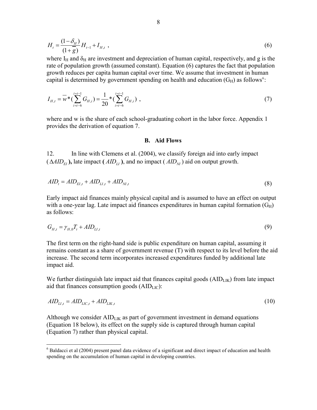$$
H_t = \frac{(1 - \delta_H)}{(1 + \overline{g})} H_{t-1} + I_{H,t} \tag{6}
$$

where  $I_H$  and  $\delta_H$  are investment and depreciation of human capital, respectively, and g is the rate of population growth (assumed constant). Equation (6) captures the fact that population growth reduces per capita human capital over time. We assume that investment in human capital is determined by government spending on health and education  $(G_H)$  as follows<sup>[6](#page-9-0)</sup>:

$$
I_{H,t} = \overline{w} * (\sum_{i=t-6}^{i=t-1} G_{H,i}) = \frac{1}{20} * (\sum_{i=t-6}^{i=t-1} G_{H,i}),
$$
\n(7)

where and w is the share of each school-graduating cohort in the labor force. Appendix 1 provides the derivation of equation 7.

#### **B. Aid Flows**

12. In line with Clemens et al. (2004), we classify foreign aid into early impact  $(\Delta AID_{\text{FI}})$ , late impact  $(\text{AID}_{\text{LI}})$ , and no impact  $(\text{AID}_{\text{NI}})$  aid on output growth.

$$
AID_t = AID_{EI,t} + AID_{LI,t} + AID_{NI,t}
$$
\n
$$
(8)
$$

Early impact aid finances mainly physical capital and is assumed to have an effect on output with a one-year lag. Late impact aid finances expenditures in human capital formation  $(G_H)$ as follows:

$$
G_{H,t} = \gamma_{H,0} T_t + A I D_{L1,t} \tag{9}
$$

The first term on the right-hand side is public expenditure on human capital, assuming it remains constant as a share of government revenue (T) with respect to its level before the aid increase. The second term incorporates increased expenditures funded by additional late impact aid.

We further distinguish late impact aid that finances capital goods  $(AID<sub>LIK</sub>)$  from late impact aid that finances consumption goods  $(AID<sub>LIC</sub>)$ :

$$
AID_{LI,t} = AID_{LIC,t} + AID_{LIK,t} \tag{10}
$$

Although we consider  $AID_{LIK}$  as part of government investment in demand equations (Equation 18 below), its effect on the supply side is captured through human capital (Equation 7) rather than physical capital.

<span id="page-9-0"></span> $6$  Baldacci et al (2004) present panel data evidence of a significant and direct impact of education and health spending on the accumulation of human capital in developing countries.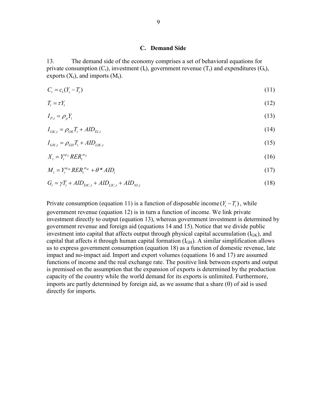#### **C. Demand Side**

13. The demand side of the economy comprises a set of behavioral equations for private consumption  $(C_t)$ , investment  $(I_t)$ , government revenue  $(T_t)$  and expenditures  $(G_t)$ , exports  $(X_t)$ , and imports  $(M_t)$ .

$$
C_t = c_1(Y_t - T_t) \tag{11}
$$

$$
T_t = \tau Y_t \tag{12}
$$

$$
I_{P,t} = \rho_p Y_t \tag{13}
$$

$$
I_{GK,t} = \rho_{GK} T_t + AID_{EI,t} \tag{14}
$$

$$
I_{GH,t} = \rho_{GH} T_t + AID_{LIK,t} \tag{15}
$$

$$
X_t = Y_t^{\psi_X} R E R_t^{\sigma_X} \tag{16}
$$

$$
M_t = Y_t^{\psi_M} R E R_t^{\sigma_M} + \theta^* A I D_t \tag{17}
$$

$$
G_t = \gamma T_t + AID_{EC,t} + AID_{LC,t} + AID_{NI,t}
$$
\n
$$
(18)
$$

Private consumption (equation 11) is a function of disposable income  $(Y_t - T_t)$ , while government revenue (equation 12) is in turn a function of income. We link private investment directly to output (equation 13), whereas government investment is determined by government revenue and foreign aid (equations 14 and 15). Notice that we divide public investment into capital that affects output through physical capital accumulation  $(I_{GK})$ , and capital that affects it through human capital formation  $(I<sub>GH</sub>)$ . A similar simplification allows us to express government consumption (equation 18) as a function of domestic revenue, late impact and no-impact aid. Import and export volumes (equations 16 and 17) are assumed functions of income and the real exchange rate. The positive link between exports and output is premised on the assumption that the expansion of exports is determined by the production capacity of the country while the world demand for its exports is unlimited. Furthermore, imports are partly determined by foreign aid, as we assume that a share (θ) of aid is used directly for imports.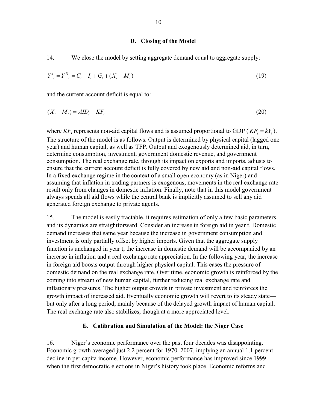#### **D. Closing of the Model**

14. We close the model by setting aggregate demand equal to aggregate supply:

$$
Y_{t}^{s} = Y_{t}^{D} = C_{t} + I_{t} + G_{t} + (X_{t} - M_{t})
$$
\n(19)

and the current account deficit is equal to:

$$
(Xt - Mt) = AIDt + KFt
$$
\n(20)

where  $KF_t$  represents non-aid capital flows and is assumed proportional to GDP ( $KF_t = kY_t$ ). The structure of the model is as follows. Output is determined by physical capital (lagged one year) and human capital, as well as TFP. Output and exogenously determined aid, in turn, determine consumption, investment, government domestic revenue, and government consumption. The real exchange rate, through its impact on exports and imports, adjusts to ensure that the current account deficit is fully covered by new aid and non-aid capital flows. In a fixed exchange regime in the context of a small open economy (as in Niger) and assuming that inflation in trading partners is exogenous, movements in the real exchange rate result only from changes in domestic inflation. Finally, note that in this model government always spends all aid flows while the central bank is implicitly assumed to sell any aid generated foreign exchange to private agents.

15. The model is easily tractable, it requires estimation of only a few basic parameters, and its dynamics are straightforward. Consider an increase in foreign aid in year t. Domestic demand increases that same year because the increase in government consumption and investment is only partially offset by higher imports. Given that the aggregate supply function is unchanged in year t, the increase in domestic demand will be accompanied by an increase in inflation and a real exchange rate appreciation. In the following year, the increase in foreign aid boosts output through higher physical capital. This eases the pressure of domestic demand on the real exchange rate. Over time, economic growth is reinforced by the coming into stream of new human capital, further reducing real exchange rate and inflationary pressures. The higher output crowds in private investment and reinforces the growth impact of increased aid. Eventually economic growth will revert to its steady state but only after a long period, mainly because of the delayed growth impact of human capital. The real exchange rate also stabilizes, though at a more appreciated level.

## **E. Calibration and Simulation of the Model: the Niger Case**

16. Niger's economic performance over the past four decades was disappointing. Economic growth averaged just 2.2 percent for 1970–2007, implying an annual 1.1 percent decline in per capita income. However, economic performance has improved since 1999 when the first democratic elections in Niger's history took place. Economic reforms and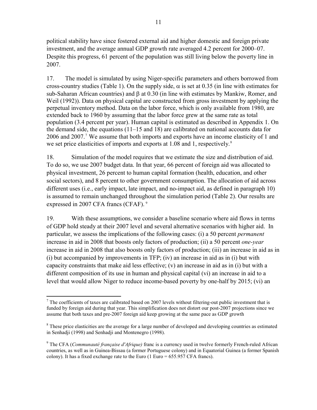political stability have since fostered external aid and higher domestic and foreign private investment, and the average annual GDP growth rate averaged 4.2 percent for 2000–07. Despite this progress, 61 percent of the population was still living below the poverty line in 2007.

17. The model is simulated by using Niger-specific parameters and others borrowed from cross-country studies (Table 1). On the supply side,  $\alpha$  is set at 0.35 (in line with estimates for sub-Saharan African countries) and β at 0.30 (in line with estimates by Mankiw, Romer, and Weil (1992)). Data on physical capital are constructed from gross investment by applying the perpetual inventory method. Data on the labor force, which is only available from 1980, are extended back to 1960 by assuming that the labor force grew at the same rate as total population (3.4 percent per year). Human capital is estimated as described in Appendix 1. On the demand side, the equations  $(11-15 \text{ and } 18)$  are calibrated on national accounts data for 2006 and 200[7](#page-12-0).<sup>7</sup> We assume that both imports and exports have an income elasticity of 1 and we set price elasticities of imports and exports at 1.0[8](#page-12-1) and 1, respectively.<sup>8</sup>

18. Simulation of the model requires that we estimate the size and distribution of aid. To do so, we use 2007 budget data. In that year, 66 percent of foreign aid was allocated to physical investment, 26 percent to human capital formation (health, education, and other social sectors), and 8 percent to other government consumption. The allocation of aid across different uses (i.e., early impact, late impact, and no-impact aid, as defined in paragraph 10) is assumed to remain unchanged throughout the simulation period (Table 2). Our results are expressed in 2007 CFA francs (CFAF). [9](#page-12-2)

19. With these assumptions, we consider a baseline scenario where aid flows in terms of GDP hold steady at their 2007 level and several alternative scenarios with higher aid. In particular, we assess the implications of the following cases: (i) a 50 percent *permanent* increase in aid in 2008 that boosts only factors of production; (ii) a 50 percent *one-year* increase in aid in 2008 that also boosts only factors of production; (iii) an increase in aid as in (i) but accompanied by improvements in TFP; (iv) an increase in aid as in (i) but with capacity constraints that make aid less effective; (v) an increase in aid as in (i) but with a different composition of its use in human and physical capital (vi) an increase in aid to a level that would allow Niger to reduce income-based poverty by one-half by 2015; (vi) an

<span id="page-12-0"></span><sup>&</sup>lt;u>.</u>  $<sup>7</sup>$  The coefficients of taxes are calibrated based on 2007 levels without filtering-out public investment that is</sup> funded by foreign aid during that year. This simplification does not distort our post-2007 projections since we assume that both taxes and pre-2007 foreign aid keep growing at the same pace as GDP growth

<span id="page-12-1"></span> $8$  These price elasticities are the average for a large number of developed and developing countries as estimated in Senhadji (1998) and Senhadji and Montenegro (1998).

<span id="page-12-2"></span><sup>9</sup> The CFA (*Communauté française d'Afrique)* franc is a currency used in twelve formerly French-ruled African countries, as well as in Guinea-Bissau (a former Portuguese colony) and in Equatorial Guinea (a former Spanish colony). It has a fixed exchange rate to the Euro (1 Euro =  $655.957$  CFA francs).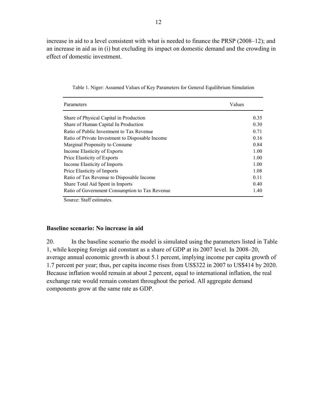increase in aid to a level consistent with what is needed to finance the PRSP (2008–12); and an increase in aid as in (i) but excluding its impact on domestic demand and the crowding in effect of domestic investment.

| Parameters                                       | Values |
|--------------------------------------------------|--------|
| Share of Physical Capital in Production          | 0.35   |
| Share of Human Capital In Production             | 0.30   |
| Ratio of Public Investment to Tax Revenue        | 0.71   |
| Ratio of Private Investment to Disposable Income | 0.16   |
| Marginal Propensity to Consume                   | 0.84   |
| Income Elasticity of Exports                     | 1.00   |
| Price Elasticity of Exports                      | 1.00   |
| Income Elasticity of Imports                     | 1.00   |
| Price Elasticity of Imports                      | 1.08   |
| Ratio of Tax Revenue to Disposable Income        | 0.11   |
| Share Total Aid Spent in Imports                 | 0.40   |
| Ratio of Government Consumption to Tax Revenue   | 1.40   |

Table 1. Niger: Assumed Values of Key Parameters for General Equilibrium Simulation

Source: Staff estimates.

#### **Baseline scenario: No increase in aid**

20. In the baseline scenario the model is simulated using the parameters listed in Table 1, while keeping foreign aid constant as a share of GDP at its 2007 level. In 2008–20, average annual economic growth is about 5.1 percent, implying income per capita growth of 1.7 percent per year; thus, per capita income rises from US\$322 in 2007 to US\$414 by 2020. Because inflation would remain at about 2 percent, equal to international inflation, the real exchange rate would remain constant throughout the period. All aggregate demand components grow at the same rate as GDP.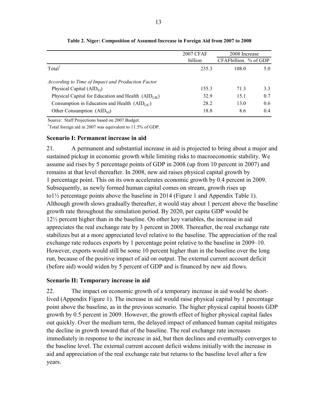|                                                      | <b>2007 CFAF</b> | 2008 Increase         |     |  |
|------------------------------------------------------|------------------|-----------------------|-----|--|
|                                                      | billion          | CFAFbillion. % of GDP |     |  |
| Total <sup>1</sup>                                   | 235.3            | 108.0                 | 5.0 |  |
| According to Time of Impact and Production Factor    |                  |                       |     |  |
| Physical Capital $(AIDFI)$                           | 155.3            | 713                   | 3.3 |  |
| Physical Capital for Education and Health $(AIDLIK)$ | 32.9             | 15.1                  | 0.7 |  |
| Consumption in Education and Health $(AIDLU)$        | 28.2             | 13.0                  | 0.6 |  |
| Other Consumption $(AIDNI)$                          | 18.8             | 8.6                   | 0.4 |  |

**Table 2. Niger: Composition of Assumed Increase in Foreign Aid from 2007 to 2008**

Source: Staff Projections based on 2007 Budget.

<sup>1</sup>Total foreign aid in 2007 was equivalent to 11.5% of GDP.

## **Scenario I: Permanent increase in aid**

21. A permanent and substantial increase in aid is projected to bring about a major and sustained pickup in economic growth while limiting risks to macroeconomic stability. We assume aid rises by 5 percentage points of GDP in 2008 (up from 10 percent in 2007) and remains at that level thereafter. In 2008, new aid raises physical capital growth by 1 percentage point. This on its own accelerates economic growth by 0.4 percent in 2009. Subsequently, as newly formed human capital comes on stream, growth rises up to1½ percentage points above the baseline in 2014 (Figure 1 and Appendix Table 1). Although growth slows gradually thereafter, it would stay about 1 percent above the baseline growth rate throughout the simulation period. By 2020, per capita GDP would be 12½ percent higher than in the baseline. On other key variables, the increase in aid appreciates the real exchange rate by 3 percent in 2008. Thereafter, the real exchange rate stabilizes but at a more appreciated level relative to the baseline. The appreciation of the real exchange rate reduces exports by 1 percentage point relative to the baseline in 2009–10. However, exports would still be some 10 percent higher than in the baseline over the long run, because of the positive impact of aid on output. The external current account deficit (before aid) would widen by 5 percent of GDP and is financed by new aid flows.

## **Scenario II: Temporary increase in aid**

22. The impact on economic growth of a temporary increase in aid would be shortlived (Appendix Figure 1). The increase in aid would raise physical capital by 1 percentage point above the baseline, as in the previous scenario. The higher physical capital boosts GDP growth by 0.5 percent in 2009. However, the growth effect of higher physical capital fades out quickly. Over the medium term, the delayed impact of enhanced human capital mitigates the decline in growth toward that of the baseline. The real exchange rate increases immediately in response to the increase in aid, but then declines and eventually converges to the baseline level. The external current account deficit widens initially with the increase in aid and appreciation of the real exchange rate but returns to the baseline level after a few years.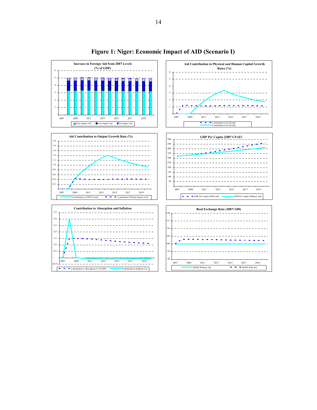

**Figure 1: Niger: Economic Impact of AID (Scenario I)**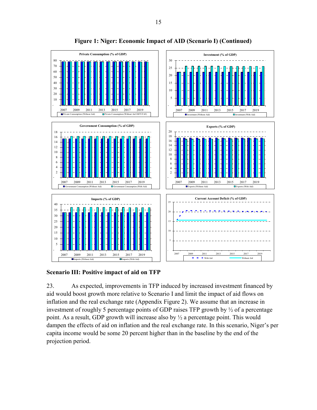



**Scenario III: Positive impact of aid on TFP** 

23. As expected, improvements in TFP induced by increased investment financed by aid would boost growth more relative to Scenario I and limit the impact of aid flows on inflation and the real exchange rate (Appendix Figure 2). We assume that an increase in investment of roughly 5 percentage points of GDP raises TFP growth by ½ of a percentage point. As a result, GDP growth will increase also by ½ a percentage point. This would dampen the effects of aid on inflation and the real exchange rate. In this scenario, Niger's per capita income would be some 20 percent higher than in the baseline by the end of the projection period.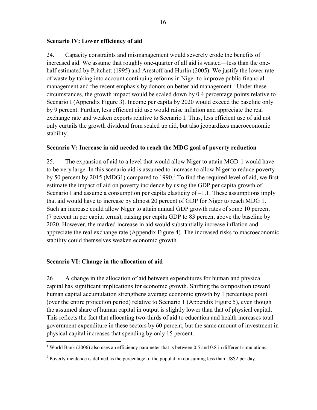## **Scenario IV: Lower efficiency of aid**

24. Capacity constraints and mismanagement would severely erode the benefits of increased aid. We assume that roughly one-quarter of all aid is wasted—less than the onehalf estimated by Pritchett (1995) and Arestoff and Hurlin (2005). We justify the lower rate of waste by taking into account continuing reforms in Niger to improve public financial management and the recent emphasis by donors on better aid management.<sup>[1](#page-17-0)</sup> Under these circumstances, the growth impact would be scaled down by 0.4 percentage points relative to Scenario I (Appendix Figure 3). Income per capita by 2020 would exceed the baseline only by 9 percent. Further, less efficient aid use would raise inflation and appreciate the real exchange rate and weaken exports relative to Scenario I. Thus, less efficient use of aid not only curtails the growth dividend from scaled up aid, but also jeopardizes macroeconomic stability.

## **Scenario V: Increase in aid needed to reach the MDG goal of poverty reduction**

25. The expansion of aid to a level that would allow Niger to attain MGD-1 would have to be very large. In this scenario aid is assumed to increase to allow Niger to reduce poverty by 50 percent by [2](#page-17-1)015 (MDG1) compared to 1990.<sup>2</sup> To find the required level of aid, we first estimate the impact of aid on poverty incidence by using the GDP per capita growth of Scenario I and assume a consumption per capita elasticity of  $-1.1$ . These assumptions imply that aid would have to increase by almost 20 percent of GDP for Niger to reach MDG 1. Such an increase could allow Niger to attain annual GDP growth rates of some 10 percent (7 percent in per capita terms), raising per capita GDP to 83 percent above the baseline by 2020. However, the marked increase in aid would substantially increase inflation and appreciate the real exchange rate (Appendix Figure 4). The increased risks to macroeconomic stability could themselves weaken economic growth.

## **Scenario VI: Change in the allocation of aid**

26 A change in the allocation of aid between expenditures for human and physical capital has significant implications for economic growth. Shifting the composition toward human capital accumulation strengthens average economic growth by 1 percentage point (over the entire projection period) relative to Scenario 1 (Appendix Figure 5), even though the assumed share of human capital in output is slightly lower than that of physical capital. This reflects the fact that allocating two-thirds of aid to education and health increases total government expenditure in these sectors by 60 percent, but the same amount of investment in physical capital increases that spending by only 15 percent.

<span id="page-17-0"></span><sup>&</sup>lt;sup>1</sup> World Bank (2006) also uses an efficiency parameter that is between 0.5 and 0.8 in different simulations.

<span id="page-17-1"></span><sup>&</sup>lt;sup>2</sup> Poverty incidence is defined as the percentage of the population consuming less than US\$2 per day.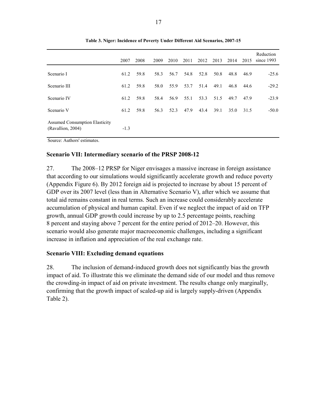|                                                            | 2007   | 2008 | 2009 | 2010 | 2011 | 2012 2013 2014 |      |      | 2015 | Reduction<br>since $1993$ |
|------------------------------------------------------------|--------|------|------|------|------|----------------|------|------|------|---------------------------|
| Scenario I                                                 | 61.2   | 59.8 | 58.3 | 56.7 | 54.8 | 52.8           | 50.8 | 48.8 | 46.9 | $-25.6$                   |
| Scenario III                                               | 61.2   | 59.8 | 58.0 | 55.9 | 53.7 | 51.4           | 49.1 | 46.8 | 44.6 | $-29.2$                   |
| Scenario IV                                                | 61.2   | 59.8 | 58.4 | 56.9 | 55.1 | 53.3           | 51.5 | 49.7 | 47.9 | $-23.9$                   |
| Scenario V                                                 | 61.2   | 59.8 | 56.3 | 52.3 | 47.9 | 43.4           | 39.1 | 35.0 | 31.5 | $-50.0$                   |
| <b>Assumed Consumption Elasticity</b><br>(Ravallion, 2004) | $-1.3$ |      |      |      |      |                |      |      |      |                           |

**Table 3. Niger: Incidence of Poverty Under Different Aid Scenarios, 2007-15**

Source: Authors' estimates.

## **Scenario VII: Intermediary scenario of the PRSP 2008-12**

27. The 2008–12 PRSP for Niger envisages a massive increase in foreign assistance that according to our simulations would significantly accelerate growth and reduce poverty (Appendix Figure 6). By 2012 foreign aid is projected to increase by about 15 percent of GDP over its 2007 level (less than in Alternative Scenario V), after which we assume that total aid remains constant in real terms. Such an increase could considerably accelerate accumulation of physical and human capital. Even if we neglect the impact of aid on TFP growth, annual GDP growth could increase by up to 2.5 percentage points, reaching 8 percent and staying above 7 percent for the entire period of 2012–20. However, this scenario would also generate major macroeconomic challenges, including a significant increase in inflation and appreciation of the real exchange rate.

## **Scenario VIII: Excluding demand equations**

28. The inclusion of demand-induced growth does not significantly bias the growth impact of aid. To illustrate this we eliminate the demand side of our model and thus remove the crowding-in impact of aid on private investment. The results change only marginally, confirming that the growth impact of scaled-up aid is largely supply-driven (Appendix Table 2).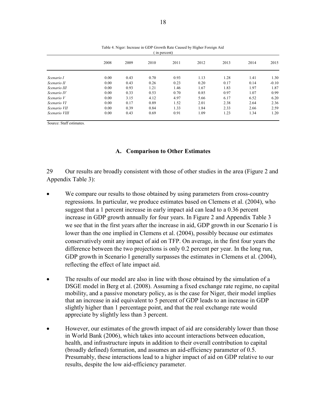| in percent)   |      |      |      |      |      |      |      |         |  |  |
|---------------|------|------|------|------|------|------|------|---------|--|--|
|               | 2008 | 2009 | 2010 | 2011 | 2012 | 2013 | 2014 | 2015    |  |  |
| Scenario I    | 0.00 | 0.43 | 0.70 | 0.93 | 1.13 | 1.28 | 1.41 | 1.30    |  |  |
| Scenario II   | 0.00 | 0.43 | 0.26 | 0.23 | 0.20 | 0.17 | 0.14 | $-0.10$ |  |  |
| Scenario III  | 0.00 | 0.93 | 1.21 | 1.46 | 1.67 | 1.83 | 1.97 | 1.87    |  |  |
| Scenario IV   | 0.00 | 0.33 | 0.53 | 0.70 | 0.85 | 0.97 | 1.07 | 0.99    |  |  |
| Scenario V    | 0.00 | 3.15 | 4.12 | 4.97 | 5.66 | 6.17 | 6.52 | 6.20    |  |  |
| Scenario VI   | 0.00 | 0.17 | 0.89 | 1.52 | 2.01 | 2.38 | 2.64 | 2.36    |  |  |
| Scenario VII  | 0.00 | 0.39 | 0.84 | 1.33 | 1.84 | 2.33 | 2.66 | 2.59    |  |  |
| Scenario VIII | 0.00 | 0.43 | 0.69 | 0.91 | 1.09 | 1.23 | 1.34 | 1.20    |  |  |

Table 4. Niger: Increase in GDP Growth Rate Caused by Higher Foreign Aid

Source: Staff estimates.

#### **A. Comparison to Other Estimates**

29 Our results are broadly consistent with those of other studies in the area (Figure 2 and Appendix Table 3):

- We compare our results to those obtained by using parameters from cross-country regressions. In particular, we produce estimates based on Clemens et al. (2004), who suggest that a 1 percent increase in early impact aid can lead to a 0.36 percent increase in GDP growth annually for four years. In Figure 2 and Appendix Table 3 we see that in the first years after the increase in aid, GDP growth in our Scenario I is lower than the one implied in Clemens et al. (2004), possibly because our estimates conservatively omit any impact of aid on TFP. On average, in the first four years the difference between the two projections is only 0.2 percent per year. In the long run, GDP growth in Scenario I generally surpasses the estimates in Clemens et al. (2004), reflecting the effect of late impact aid.
- The results of our model are also in line with those obtained by the simulation of a DSGE model in Berg et al. (2008). Assuming a fixed exchange rate regime, no capital mobility, and a passive monetary policy, as is the case for Niger, their model implies that an increase in aid equivalent to 5 percent of GDP leads to an increase in GDP slightly higher than 1 percentage point, and that the real exchange rate would appreciate by slightly less than 3 percent.
- However, our estimates of the growth impact of aid are considerably lower than those in World Bank (2006), which takes into account interactions between education, health, and infrastructure inputs in addition to their overall contribution to capital (broadly defined) formation, and assumes an aid-efficiency parameter of 0.5. Presumably, these interactions lead to a higher impact of aid on GDP relative to our results, despite the low aid-efficiency parameter.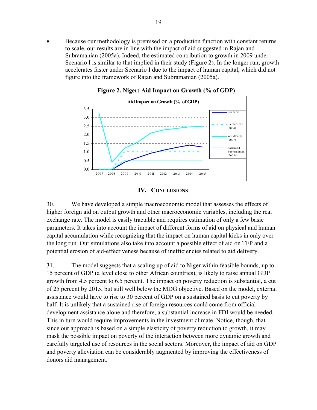• Because our methodology is premised on a production function with constant returns to scale, our results are in line with the impact of aid suggested in Rajan and Subramanian (2005a). Indeed, the estimated contribution to growth in 2009 under Scenario I is similar to that implied in their study (Figure 2). In the longer run, growth accelerates faster under Scenario I due to the impact of human capital, which did not figure into the framework of Rajan and Subramanian (2005a).



**Figure 2. Niger: Aid Impact on Growth (% of GDP)**

#### **IV. CONCLUSIONS**

30. We have developed a simple macroeconomic model that assesses the effects of higher foreign aid on output growth and other macroeconomic variables, including the real exchange rate. The model is easily tractable and requires estimation of only a few basic parameters. It takes into account the impact of different forms of aid on physical and human capital accumulation while recognizing that the impact on human capital kicks in only over the long run. Our simulations also take into account a possible effect of aid on TFP and a potential erosion of aid-effectiveness because of inefficiencies related to aid delivery.

31. The model suggests that a scaling up of aid to Niger within feasible bounds, up to 15 percent of GDP (a level close to other African countries), is likely to raise annual GDP growth from 4.5 percent to 6.5 percent. The impact on poverty reduction is substantial, a cut of 25 percent by 2015, but still well below the MDG objective. Based on the model, external assistance would have to rise to 30 percent of GDP on a sustained basis to cut poverty by half. It is unlikely that a sustained rise of foreign resources could come from official development assistance alone and therefore, a substantial increase in FDI would be needed. This in turn would require improvements in the investment climate. Notice, though, that since our approach is based on a simple elasticity of poverty reduction to growth, it may mask the possible impact on poverty of the interaction between more dynamic growth and carefully targeted use of resources in the social sectors. Moreover, the impact of aid on GDP and poverty alleviation can be considerably augmented by improving the effectiveness of donors aid management.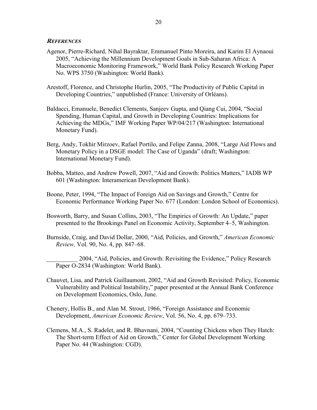#### **REFERENCES**

- Agenor, Pierre-Richard, Nihal Bayraktar, Emmanuel Pinto Moreira, and Karim El Aynaoui 2005, "Achieving the Millennium Development Goals in Sub-Saharan Africa: A Macroeconomic Monitoring Framework," World Bank Policy Research Working Paper No. WPS 3750 (Washington: World Bank).
- Arestoff, Florence, and Christophe Hurlin, 2005, "The Productivity of Public Capital in Developing Countries," unpublished (France: University of Orléans).
- Baldacci, Emanuele, Benedict Clements, Sanjeev Gupta, and Qiang Cui, 2004, "Social Spending, Human Capital, and Growth in Developing Countries: Implications for Achieving the MDGs," IMF Working Paper WP/04/217 (Washington: International Monetary Fund).
- Berg, Andy, Tokhir Mirzoev, Rafael Portilo, and Felipe Zanna, 2008, "Large Aid Flows and Monetary Policy in a DSGE model: The Case of Uganda" (draft; Washington: International Monetary Fund).
- Bobba, Matteo, and Andrew Powell, 2007, "Aid and Growth: Politics Matters," IADB WP 601 (Washington: Interamerican Development Bank).
- Boone, Peter, 1994, "The Impact of Foreign Aid on Savings and Growth," Centre for Economic Performance Working Paper No. 677 (London: London School of Economics).
- Bosworth, Barry, and Susan Collins, 2003, "The Empirics of Growth: An Update," paper presented to the Brookings Panel on Economic Activity, September 4–5, Washington.
- Burnside, Craig, and David Dollar, 2000, "Aid, Policies, and Growth," *American Economic Review,* Vol. 90, No. 4, pp. 847–68.
	- 2004, "Aid, Policies, and Growth: Revisiting the Evidence," Policy Research Paper O-2834 (Washington: World Bank).
- Chauvet, Lisa, and Patrick Guillaumont, 2002, "Aid and Growth Revisited: Policy, Economic Vulnerability and Political Instability," paper presented at the Annual Bank Conference on Development Economics, Oslo, June.
- Chenery, Hollis B., and Alan M. Strout, 1966, "Foreign Assistance and Economic Development, *American Economic Review*, Vol. 56, No. 4, pp. 679–733.
- Clemens, M.A., S. Radelet, and R. Bhavnani, 2004, "Counting Chickens when They Hatch: The Short-term Effect of Aid on Growth," Center for Global Development Working Paper No. 44 (Washington: CGD).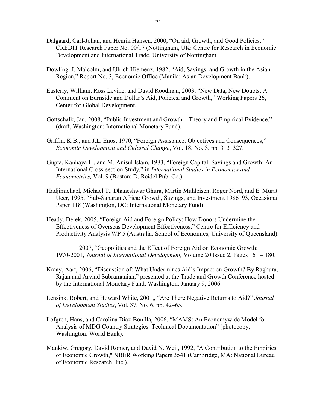- Dalgaard, Carl-Johan, and Henrik Hansen, 2000, "On aid, Growth, and Good Policies," CREDIT Research Paper No. 00/17 (Nottingham, UK: Centre for Research in Economic Development and International Trade, University of Nottingham.
- Dowling, J. Malcolm, and Ulrich Hiemenz, 1982, "Aid, Savings, and Growth in the Asian Region," Report No. 3, Economic Office (Manila: Asian Development Bank).
- Easterly, William, Ross Levine, and David Roodman, 2003, "New Data, New Doubts: A Comment on Burnside and Dollar's Aid, Policies, and Growth," Working Papers 26, Center for Global Development.
- Gottschalk, Jan, 2008, "Public Investment and Growth Theory and Empirical Evidence," (draft, Washington: International Monetary Fund).
- Griffin, K.B., and J.L. Enos, 1970, "Foreign Assistance: Objectives and Consequences," *Economic Development and Cultural Change*, Vol. 18, No. 3, pp. 313–327.
- Gupta, Kanhaya L., and M. Anisul Islam, 1983, "Foreign Capital, Savings and Growth: An International Cross-section Study," in *International Studies in Economics and Econometrics,* Vol. 9 (Boston: D. Reidel Pub. Co.).
- Hadjimichael, Michael T., Dhaneshwar Ghura, Martin Muhleisen, Roger Nord, and E. Murat Ucer, 1995, "Sub-Saharan Africa: Growth, Savings, and Investment 1986–93, Occasional Paper 118 (Washington, DC: International Monetary Fund).
- Heady, Derek, 2005, "Foreign Aid and Foreign Policy: How Donors Undermine the Effectiveness of Overseas Development Effectiveness," Centre for Efficiency and Productivity Analysis WP 5 (Australia: School of Economics, University of Queensland).

\_\_\_\_\_\_\_\_\_\_ 2007, "Geopolitics and the Effect of Foreign Aid on Economic Growth: 1970-2001, *Journal of International Development,* Volume 20 Issue 2, Pages 161 – 180.

- Kraay, Aart, 2006, "Discussion of: What Undermines Aid's Impact on Growth? By Raghura, Rajan and Arvind Subramanian," presented at the Trade and Growth Conference hosted by the International Monetary Fund, Washington, January 9, 2006.
- Lensink, Robert, and Howard White, 2001,, "Are There Negative Returns to Aid?" *Journal of Development Studies*, Vol. 37, No. 6, pp. 42–65.
- Lofgren, Hans, and Carolina Diaz-Bonilla, 2006, "MAMS: An Economywide Model for Analysis of MDG Country Strategies: Technical Documentation" (photocopy; Washington: World Bank).
- Mankiw, Gregory, David Romer, and David N. Weil, 1992, "A Contribution to the Empirics of Economic Growth," NBER Working Papers 3541 (Cambridge, MA: National Bureau of Economic Research, Inc.).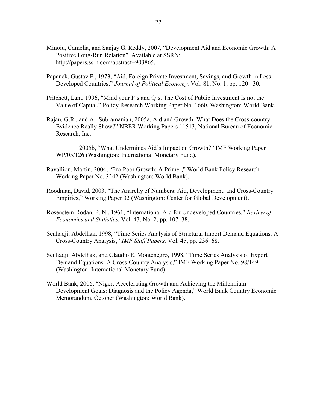- Minoiu, Camelia, and Sanjay G. Reddy, 2007, "Development Aid and Economic Growth: A Positive Long-Run Relation". Available at SSRN: http://papers.ssrn.com/abstract=903865.
- Papanek, Gustav F., 1973, "Aid, Foreign Private Investment, Savings, and Growth in Less Developed Countries," *Journal of Political Economy,* Vol. 81, No. 1, pp. 120 –30.
- Pritchett, Lant, 1996, "Mind your P's and Q's. The Cost of Public Investment Is not the Value of Capital," Policy Research Working Paper No. 1660, Washington: World Bank.
- Rajan, G.R., and A. Subramanian, 2005a. Aid and Growth: What Does the Cross-country Evidence Really Show?" NBER Working Papers 11513, National Bureau of Economic Research, Inc.
	- \_\_\_\_\_\_\_\_\_\_ 2005b, "What Undermines Aid's Impact on Growth?" IMF Working Paper WP/05/126 (Washington: International Monetary Fund).
- Ravallion, Martin, 2004, "Pro-Poor Growth: A Primer," World Bank Policy Research Working Paper No. 3242 (Washington: World Bank).
- Roodman, David, 2003, "The Anarchy of Numbers: Aid, Development, and Cross-Country Empirics," Working Paper 32 (Washington: Center for Global Development).
- Rosenstein-Rodan, P. N., 1961, "International Aid for Undeveloped Countries," *Review of Economics and Statistics*, Vol. 43, No. 2, pp. 107–38.
- Senhadji, Abdelhak, 1998, "Time Series Analysis of Structural Import Demand Equations: A Cross-Country Analysis," *IMF Staff Papers,* Vol. 45, pp. 236–68.
- Senhadji, Abdelhak, and Claudio E. Montenegro, 1998, "Time Series Analysis of Export Demand Equations: A Cross-Country Analysis," IMF Working Paper No. 98/149 (Washington: International Monetary Fund).
- World Bank, 2006, "Niger: Accelerating Growth and Achieving the Millennium Development Goals: Diagnosis and the Policy Agenda," World Bank Country Economic Memorandum, October (Washington: World Bank).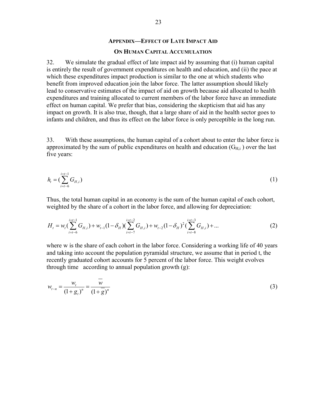#### **APPENDIX—EFFECT OF LATE IMPACT AID**

#### **ON HUMAN CAPITAL ACCUMULATION**

32. We simulate the gradual effect of late impact aid by assuming that (i) human capital is entirely the result of government expenditures on health and education, and (ii) the pace at which these expenditures impact production is similar to the one at which students who benefit from improved education join the labor force. The latter assumption should likely lead to conservative estimates of the impact of aid on growth because aid allocated to health expenditures and training allocated to current members of the labor force have an immediate effect on human capital. We prefer that bias, considering the skepticism that aid has any impact on growth. It is also true, though, that a large share of aid in the health sector goes to infants and children, and thus its effect on the labor force is only perceptible in the long run.

33. With these assumptions, the human capital of a cohort about to enter the labor force is approximated by the sum of public expenditures on health and education  $(G_{H,i})$  over the last five years:

$$
h_{t} = \left(\sum_{i=t-6}^{t=t-1} G_{H,i}\right) \tag{1}
$$

Thus, the total human capital in an economy is the sum of the human capital of each cohort, weighted by the share of a cohort in the labor force, and allowing for depreciation:

$$
H_{t} = w_{t} \left( \sum_{i=t-6}^{i=t-1} G_{H,i} \right) + w_{t-1} \left( 1 - \delta_{H} \right) \left( \sum_{i=t-7}^{i=t-2} G_{H,i} \right) + w_{t-2} \left( 1 - \delta_{H} \right)^{2} \left( \sum_{i=t-8}^{i=t-3} G_{H,i} \right) + \dots
$$
 (2)

where w is the share of each cohort in the labor force. Considering a working life of 40 years and taking into account the population pyramidal structure, we assume that in period t, the recently graduated cohort accounts for 5 percent of the labor force. This weight evolves through time according to annual population growth (g):

$$
w_{t-n} = \frac{w_t}{(1+g_t)^n} = \frac{w}{(1+\overline{g})^n}
$$
 (3)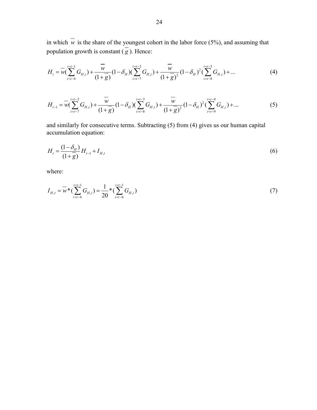in which  $\overline{w}$  is the share of the youngest cohort in the labor force (5%), and assuming that population growth is constant  $\overline{g}$ ). Hence:

$$
H_{t} = \overline{w} \left( \sum_{i=t-6}^{i=t-1} G_{H,i} \right) + \frac{\overline{w}}{(1+\overline{g})} \left( 1 - \delta_{H} \right) \left( \sum_{i=t-7}^{i=t-2} G_{H,i} \right) + \frac{\overline{w}}{(1+\overline{g})^{2}} \left( 1 - \delta_{H} \right)^{2} \left( \sum_{i=t-8}^{i=t-3} G_{H,i} \right) + \dots
$$
(4)

$$
H_{t-1} = \overline{w} \left( \sum_{i=t-7}^{i=t-2} G_{H,i} \right) + \frac{\overline{w}}{(1+g)} \left( 1 - \delta_H \right) \left( \sum_{i=t-8}^{i=t-3} G_{H,i} \right) + \frac{\overline{w}}{(1+g)^2} \left( 1 - \delta_H \right)^2 \left( \sum_{i=t-9}^{i=t-4} G_{H,i} \right) + \dots
$$
 (5)

and similarly for consecutive terms. Subtracting (5) from (4) gives us our human capital accumulation equation:

$$
H_{t} = \frac{(1 - \delta_{H})}{(1 + g)} H_{t-1} + I_{H,t}
$$
\n(6)

where:

$$
I_{H,t} = \overline{w} * (\sum_{i=t-6}^{i=t-1} G_{H,i}) = \frac{1}{20} * (\sum_{i=t-6}^{i=t-1} G_{H,i})
$$
\n(7)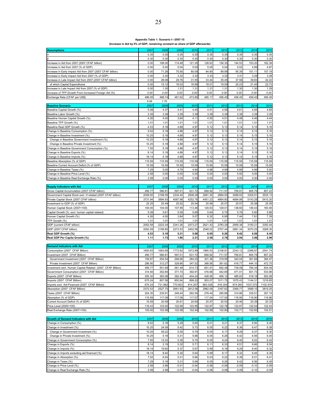#### **Appendix Table 1: Scenario I—2007-15**

**(Increase in Aid by 5% of GDP, remaining constant as share of GDP afterwards)**

| <b>Assumptions</b>                                           | 2007         | 2008         | 2009    | 2010    | 2011    | 2012    | 2013    | 2014     | 2015               |
|--------------------------------------------------------------|--------------|--------------|---------|---------|---------|---------|---------|----------|--------------------|
|                                                              | 0.35         | 0.35         | 0.35    | 0.35    | 0.35    | 0.35    | 0.35    | 0.35     | 0.35               |
|                                                              | 0.30         | 0.30         | 0.30    | 0.30    | 0.30    | 0.30    | 0.30    | 0.30     | 0.30               |
| Increase in Aid from 2007 (2007 CFAF billion)                | 0.00         | 108.00       | 114.48  | 121.35  | 128.63  | 136.35  | 144.53  | 153.20   | 162.39             |
| Increase in Aid from 2007 (% of GDP)                         | 0.00         | 5.00         | 5.04    | 5.05    | 5.05    | 5.04    | 5.02    | 4.99     | 4.97               |
| Increase in Early Impact Aid from 2007 (2007 CFAF billion)   | 0.00         | 71.28        | 75.56   | 80.09   | 84.90   | 89.99   | 95.39   | 101.11   | 107.18             |
| Increase in Early Impact Aid from 2007 (% of GDP)            | 0.00         | 3.30         | 3.32    | 3.33    | 3.33    | 3.32    | 3.31    | 3.29     | 3.28               |
| Increase in Late Impact Aid from 2007 (2007 CFAF billion)    | 0.00         | 28.08        | 29.76   | 31.55   | 33.44   | 35.45   | 37.58   | 39.83    | 42.22              |
| of which Capital Expenditures                                | 0.00         | 15.12        | 16.03   | 16.99   | 18.01   | 19.09   | 20.23   | 21.45    | 22.73              |
| Increase in Late Impact Aid from 2007 (% of GDP)             | 0.00         | 1.30         | 1.31    | 1.31    | 1.31    | 1.31    | 1.30    | 1.30     | 1.29               |
| Increase of TFP Growth From Increased Foreign Aid (%)        | 0.00         | 0.00         | 0.00    | 0.00    | 0.00    | 0.00    | 0.00    | 0.00     | 0.00               |
| Exchange Rate (CFAF per US\$)                                | 496.05       | 488.74       | 481.62  | 473.80  | 465.17  | 456.45  | 456.45  | 456.45   | 456.45             |
|                                                              | 5.08         | 1.70         |         |         |         |         |         |          |                    |
| <b>Baseline Scenario</b>                                     | 2007         | 2008         | 2009    | 2010    | 2011    | 2012    | 2013    | 2014     | 2015               |
| Baseline Capital Growth (%)                                  | 5.08         | 4.37         | 4.41    | 4.45    | 4.51    | 4.56    | 4.61    | 4.65     | 4.69               |
| Baseline Labor Growth (%)                                    | 3.39         | 3.39         | 3.39    | 3.39    | 3.39    | 3.39    | 3.39    | 3.39     | 3.39               |
| Baseline Human Capital Growth (%)                            | 4.26         | 4.00         | 3.84    | 4.11    | 4.55    | 4.51    | 4.48    | 4.46     | 4.44               |
| Baseline TFP Growth (%)                                      | 1.01         | 1.01         | 1.01    | 1.01    | 1.01    | 1.01    | 1.01    | 1.01     | 1.01               |
| Baseline Real GDP Growth (%)                                 | 4.53         | 5.18         | 4.88    | 4.97    | 5.12    | 5.13    | 5.14    | 5.15     | 5.16               |
| Change in Baseline Consumption (%)                           | 9.52         | 5.18         | 4.88    | 4.97    | 5.12    | 5.13    | 5.14    | 5.15     | 5.16               |
| Change in Baseline Investment (%)                            | 10.25        | 5.18         | 4.88    | 4.97    | 5.12    | 5.13    | 5.14    | 5.15     | 5.16               |
|                                                              |              |              |         |         | 5.12    |         | 5.14    |          |                    |
| Change in Baseline Government Investment (%)                 | 10.25        | 5.18         | 4.88    | 4.97    |         | 5.13    |         | 5.15     | 5.16               |
| Change in Baseline Private Investment (%)                    | 10.25        | 5.18         | 4.88    | 4.97    | 5.12    | 5.13    | 5.14    | 5.15     | 5.16               |
| Change in Baseline Government Consumption (%)                | 7.55         | 5.18         | 4.88    | 4.97    | 5.12    | 5.13    | 5.14    | 5.15     | 5.16               |
| Change in Baseline Exports (%)                               | 8.14         | 5.18         | 4.88    | 4.97    | 5.12    | 5.13    | 5.14    | 5.15     | 5.16               |
| Change in Baseline Imports (%)                               | 18.14        | 5.18         | 4.88    | 4.97    | 5.12    | 5.13    | 5.14    | 5.15     | 5.16               |
| Baseline Absorption (% of GDP)                               | 115.59       | 115.59       | 115.59  | 115.59  | 115.59  | 115.59  | 115.59  | 115.59   | 115.59             |
| Baseline Current Account Deficit (% of GDP)                  | 15.59        | 15.59        | 15.59   | 15.59   | 15.59   | 15.59   | 15.59   | 15.59    | 15.59              |
| Change in Baseline Taxes (%)                                 | 7.29         | 5.05         | 4.76    | 4.84    | 4.98    | 4.99    | 4.99    | 4.99     | 5.00               |
| Change in Baseline Price Level (%)                           | 2.58         | 0.00         | 0.00    | 0.00    | 0.00    | 0.00    | 0.00    | 0.00     | 0.00               |
| Change in Baseline Real Exchange Rate (%)                    | 2.58         | 0.00         | 0.00    | 0.00    | 0.00    | 0.00    | 0.00    | 0.00     | 0.00               |
|                                                              |              |              |         |         |         |         |         |          |                    |
| <b>Supply Indicators with Aid</b>                            | 2007         | 2008         | 2009    | 2010    | 2011    | 2012    | 2013    | 2014     | 2015               |
| Gross Capital Accumulation (2007 CFAF billion)               | 456.77       | 566.81       | 597.51  | 631.72  | 669.92  | 711.57  | 756.81  | 805.79   | 857.22             |
| Government Capital Stock excl. H related (2007 CFAF billion) | 2009.50      | 2168.55      | 2334.44 | 2508.28 | 2691.30 | 2884.50 | 3088.93 | 3305.61  | 3535.13            |
| Private Capital Stock (2007 CFAF billion)                    | 3731.94      | 3894.93      | 4067.98 | 4252.78 | 4451.23 | 4664.80 | 4894.98 | 5143.28  | 5410.30            |
| Investment to GDP (% of GDP)                                 | 22.25        | 25.49        | 25.52   | 25.54   | 25.56   | 25.57   | 25.57   | 25.58    | 25.59              |
| Human Capital Stock (2007=100)                               | 100.00       | 104.00       | 107.99  | 113.46  | 120.63  | 129.01  | 138.60  | 149.43   | 160.46             |
| Capital Growth (%, excl. human capital related)              | 5.08         | 5.61         | 5.59    | 5.60    | 5.64    | 5.70    | 5.76    | 5.82     | 5.88               |
| Human Capital Growth (%)                                     | 4.26         | 4.00         | 3.84    | 5.07    | 6.32    | 6.95    | 7.44    | 7.81     | 7.39               |
| TFP Growth (%)                                               | 1.01         | 1.01         | 1.01    | 1.01    | 1.01    | 1.01    | 1.01    | 1.01     | 1.01               |
| GDP (current CFAF billion)                                   | 2052.59      | 2223.34      | 2341.26 | 2473.27 | 2621.43 | 2783.29 | 2959.38 | 3150.21  | 3350.44            |
| GDP (2007 CFAF billion)                                      | 2052.59      | 2158.85      | 2273.53 | 2402.56 | 2548.02 | 2707.44 | 2881.34 | 3070.25  | 3268.35            |
| Real GDP Growth (%)                                          | 4.53         | 5.18         | 5.31    | 5.68    | 6.05    | 6.26    | 6.42    | 6.56     | 6.45               |
| Real GDP Per Capita Growth (%)                               | 1.11         | 1.73         | 1.86    | 2.21    | 2.58    | 2.78    | 2.94    | 3.06     | 2.96               |
|                                                              |              |              |         |         |         |         |         |          |                    |
| <b>Demand Indicators with Aid</b>                            | 2007         | 2008         | 2009    | 2010    | 2011    | 2012    | 2013    | 2014     | 2015               |
| Consumption (2007 CFAF Billion)                              | 1600.83      | 1683.69      | 1772.82 | 1872.89 | 1985.53 | 2108.81 | 2243.12 | 2388.87  | 2541.74            |
| Investment (2007 CFAF Billion)                               | 456.77       | 566.81       | 597.51  | 631.72  | 669.92  | 711.57  | 756.81  | 805.79   | 857.22             |
| Government Investment (2007 CFAF Billion)                    | 159.87       | 254.54       | 268.66  | 284.20  | 301.36  | 319.95  | 340.04  | 361.69   | 384.47             |
| Private Investment (2007 CFAF Billion)                       | 296.90       | 312.27       | 328.86  | 347.52  | 368.56  | 391.62  | 416.77  | 444.10   | 472.75             |
| Investment excl. Human Capital Related (2007 CFAF Billion)   | 456.77       | 551.69       | 581.49  | 614.73  | 651.91  | 692.48  | 736.58  | 784.34   | 834.49             |
| Government Consumption (2007 CFAF Billion)                   | 314.94       | 352.84       | 371.74  | 392.91  | 416.68  | 442.69  | 471.01  | 501.73   | 533.96             |
| Exports (2007 CFAF Billion)                                  | 355.30       | 363.08       | 382.40  | 404.24  | 428.95  | 456.12  | 485.83  | 518.18   | 552.08             |
| Imports (2007 CFAF Billion)                                  | 675.24       | 807.58       | 850.94  | 899.20  | 953.07  | 1011.75 | 1075.43 | 1144.31  | 1216.65            |
| Imports excl. Aid-Financed (2007 CFAF Billion)               | 675.24       | 731.982      | 770.803 | 814.257 | 863.026 | 916.304 | 974.260 | 1037.070 | 1102.974           |
| Absorption (2007 CFAF Billion)                               | 2372.53      | 2527.75      | 2661.93 | 2812.58 | 2982.09 | 3167.62 | 3369.77 | 3589.15  | 3819.25            |
| Taxes (2007 CFAF Billion)                                    | 224.30       | 235.91       | 248.44  | 262.54  | 278.44  | 295.86  | 314.86  | 335.51   | 357.15             |
| Absorption (% of GDP)                                        | 115.59       | 117.09       | 117.08  | 117.07  | 117.04  | 117.00  | 116.95  | 116.90   | 116.86             |
| Current Account Deficit (% of GDP)                           | 15.59        | 20.59        | 20.61   | 20.60   | 20.57   | 20.52   | 20.46   | 20.39    | 20.33              |
|                                                              |              |              | 122.99  | 122.95  |         |         | 122.67  | 122.54   | 122.43             |
| Price Level (2000=100)                                       | 119.43       | 123.00       |         |         | 122.87  | 122.78  |         |          |                    |
| Real Exchange Rate (2007=100)                                | 100.00       | 102.99       | 102.98  | 102.94  | 102.88  | 102.80  | 102.71  | 102.60   | 102.51             |
| <b>Growth of Demand Indicators with Aid</b>                  |              |              |         |         |         |         |         |          |                    |
|                                                              | 2007         | 2008         | 2009    | 2010    | 2011    | 2012    | 2013    | 2014     | 2015               |
| Change in Consumption (%)                                    | 9.52         | 5.18         | 5.29    | 5.65    | 6.01    | 6.21    | 6.37    | 6.50     | 6.40               |
| Change in Investment (%)                                     | 10.25        | 24.09        | 5.42    | 5.73    | 6.05    | 6.22    | 6.36    | 6.47     | 6.38               |
| Change in Government Investment (%)                          | 10.25        | 59.22        | 5.55    | 5.79    | 6.04    | 6.17    | 6.28    | 6.37     | 6.30               |
| Change in Private Investment (%)                             | 10.25        | 5.18         | 5.31    | 5.68    | 6.05    | 6.26    | 6.42    | 6.56     | 6.45               |
| Change in Government Consumption (%)                         | 7.55         | 12.03        | 5.35    | 5.70    | 6.05    | 6.24    | 6.40    | 6.52     | 6.42               |
| Change in Exports (%)                                        | 8.14         | 2.19         | 5.32    | 5.71    | 6.11    | 6.33    | 6.51    | 6.66     | 6.54               |
| Change in Imports (%)                                        | 18.14        | 19.60        | 5.37    | 5.67    | 5.99    | 6.16    | 6.29    | 6.40     | 6.32               |
| Change in Imports excluding aid financed (%)                 | 18.14        | 8.40         | 5.30    | 5.64    | 5.99    | 6.17    | 6.32    | 6.45     | 6.35               |
| Change in Absorption (%)                                     | 7.52         | 6.54         | 5.31    | 5.66    | 6.03    | 6.22    | 6.38    | 6.51     | 6.41               |
| Change in Taxes (%)                                          | 7.29         | 5.18         | 5.31    | 5.68    | 6.05    | 6.26    | 6.42    | 6.56     | 6.45               |
|                                                              |              |              |         |         |         |         |         |          |                    |
| Change in Price Level (%)                                    | 2.58<br>2.58 | 2.99<br>2.99 | $-0.01$ | $-0.04$ | $-0.06$ | $-0.08$ | $-0.09$ | $-0.10$  | $-0.09$<br>$-0.09$ |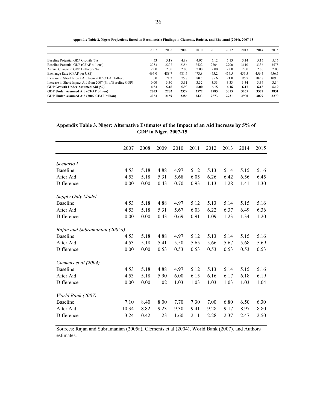|                                                            | 2007  | 2008  | 2009  | 2010  | 2011  | 2012  | 2013  | 2014  | 2015  |
|------------------------------------------------------------|-------|-------|-------|-------|-------|-------|-------|-------|-------|
| Baseline Potential GDP Growth (%)                          | 4.53  | 5.18  | 4.88  | 4.97  | 5.12  | 5.13  | 5.14  | 5.15  | 5.16  |
| Baseline Potential GDP (CFAF billions)                     | 2053  | 2202  | 2356  | 2522  | 2704  | 2900  | 3110  | 3336  | 3578  |
| Annual Change in GDP Deflator (%)                          | 2.00  | 2.00  | 2.00  | 2.00  | 2.00  | 2.00  | 2.00  | 2.00  | 2.00  |
| Exchange Rate (CFAF per US\$)                              | 496.0 | 488.7 | 481.6 | 473.8 | 465.2 | 456.5 | 456.5 | 456.5 | 456.5 |
| Increase in Short Impact Aid from 2007 (CFAF billion)      | 0.0   | 71.3  | 75.8  | 80.5  | 85.6  | 91.0  | 96.7  | 102.8 | 109.3 |
| Increase in Short Impact Aid from 2007 (% of Baseline GDP) | 0.00  | 3.30  | 3.31  | 3.32  | 3.33  | 3.33  | 3.34  | 3.34  | 3.34  |
| GDP Growth Under Assumed Aid (%)                           | 4.53  | 5.18  | 5.90  | 6.00  | 6.15  | 6.16  | 6.17  | 6.18  | 6.19  |
| <b>GDP Under Assumed Aid (CFAF billion)</b>                | 2053  | 2202  | 2379  | 2572  | 2785  | 3015  | 3265  | 3537  | 3831  |
| GDP Under Assumed Aid (2007 CFAF billion)                  | 2053  | 2159  | 2286  | 2423  | 2573  | 2731  | 2900  | 3079  | 3270  |

**Appendix Table 2. Niger: Projections Based on Econometric Findings in Clements, Radelet, and Bhavnani (2004), 2007-15**

**Appendix Table 3. Niger: Alternative Estimates of the Impact of an Aid Increase by 5% of GDP in Niger, 2007-15**

|                               | 2007  | 2008 | 2009 | 2010 | 2011 | 2012 | 2013 | 2014 | 2015 |
|-------------------------------|-------|------|------|------|------|------|------|------|------|
|                               |       |      |      |      |      |      |      |      |      |
| Scenario I                    |       |      |      |      |      |      |      |      |      |
| <b>Baseline</b>               | 4.53  | 5.18 | 4.88 | 4.97 | 5.12 | 5.13 | 5.14 | 5.15 | 5.16 |
| After Aid                     | 4.53  | 5.18 | 5.31 | 5.68 | 6.05 | 6.26 | 6.42 | 6.56 | 6.45 |
| Difference                    | 0.00  | 0.00 | 0.43 | 0.70 | 0.93 | 1.13 | 1.28 | 1.41 | 1.30 |
| Supply Only Model             |       |      |      |      |      |      |      |      |      |
| <b>Baseline</b>               | 4.53  | 5.18 | 4.88 | 4.97 | 5.12 | 5.13 | 5.14 | 5.15 | 5.16 |
| After Aid                     | 4.53  | 5.18 | 5.31 | 5.67 | 6.03 | 6.22 | 6.37 | 6.49 | 6.36 |
| Difference                    | 0.00  | 0.00 | 0.43 | 0.69 | 0.91 | 1.09 | 1.23 | 1.34 | 1.20 |
| Rajan and Subramanian (2005a) |       |      |      |      |      |      |      |      |      |
| <b>Baseline</b>               | 4.53  | 5.18 | 4.88 | 4.97 | 5.12 | 5.13 | 5.14 | 5.15 | 5.16 |
| After Aid                     | 4.53  | 5.18 | 5.41 | 5.50 | 5.65 | 5.66 | 5.67 | 5.68 | 5.69 |
| Difference                    | 0.00  | 0.00 | 0.53 | 0.53 | 0.53 | 0.53 | 0.53 | 0.53 | 0.53 |
| Clemens et al (2004)          |       |      |      |      |      |      |      |      |      |
| <b>Baseline</b>               | 4.53  | 5.18 | 4.88 | 4.97 | 5.12 | 5.13 | 5.14 | 5.15 | 5.16 |
| After Aid                     | 4.53  | 5.18 | 5.90 | 6.00 | 6.15 | 6.16 | 6.17 | 6.18 | 6.19 |
| Difference                    | 0.00  | 0.00 | 1.02 | 1.03 | 1.03 | 1.03 | 1.03 | 1.03 | 1.04 |
| World Bank (2007)             |       |      |      |      |      |      |      |      |      |
| <b>Baseline</b>               | 7.10  | 8.40 | 8.00 | 7.70 | 7.30 | 7.00 | 6.80 | 6.50 | 6.30 |
| After Aid                     | 10.34 | 8.82 | 9.23 | 9.30 | 9.41 | 9.28 | 9.17 | 8.97 | 8.80 |
| Difference                    | 3.24  | 0.42 | 1.23 | 1.60 | 2.11 | 2.28 | 2.37 | 2.47 | 2.50 |
|                               |       |      |      |      |      |      |      |      |      |

Sources: Rajan and Subramanian (2005a), Clements et al (2004), World Bank (2007), and Authors estimates.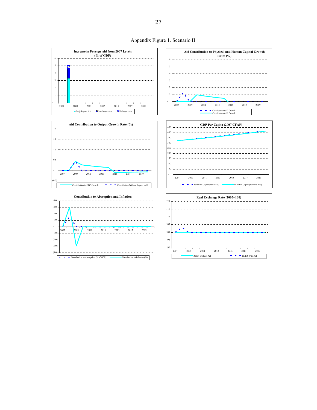

Appendix Figure 1. Scenario II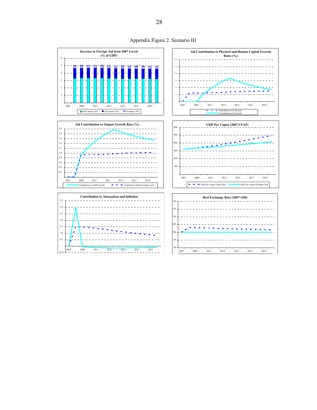

Appendix Figure 2. Scenario III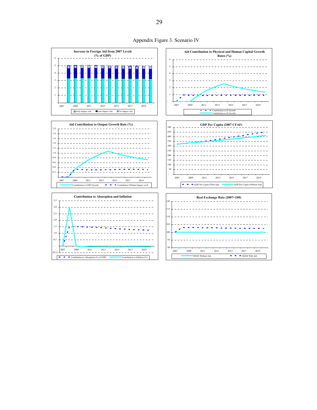

Appendix Figure 3. Scenario IV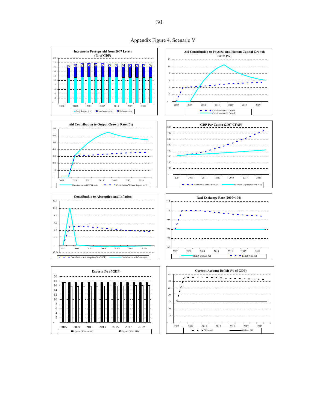

Appendix Figure 4. Scenario V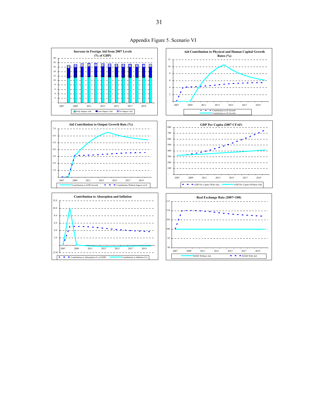

Appendix Figure 5. Scenario VI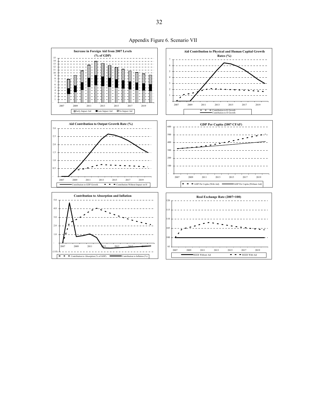

Appendix Figure 6. Scenario VII